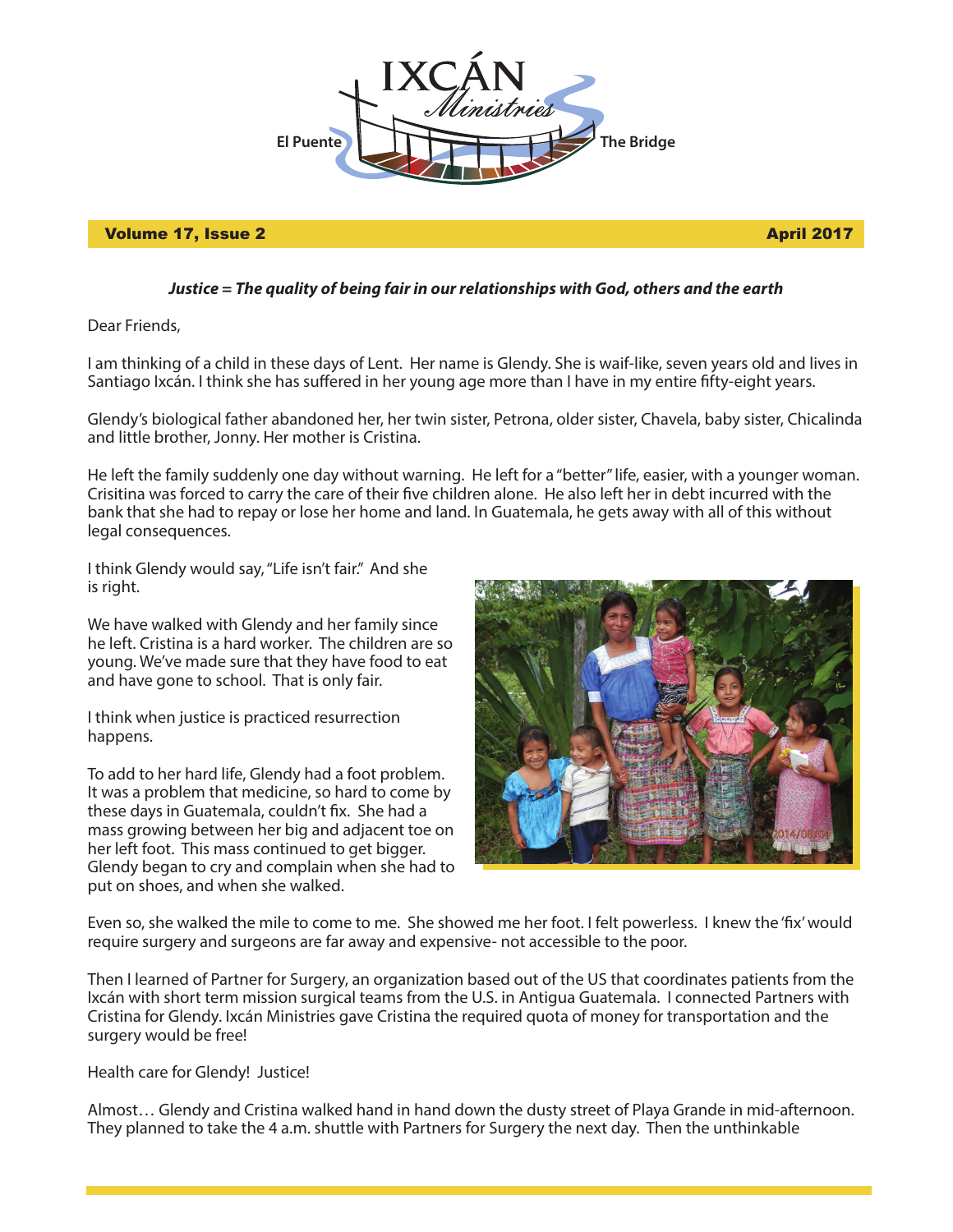

## Volume 17, Issue 2 April 2017

## *Justice = The quality of being fair in our relationships with God, others and the earth*

Dear Friends,

I am thinking of a child in these days of Lent. Her name is Glendy. She is waif-like, seven years old and lives in Santiago Ixcán. I think she has suffered in her young age more than I have in my entire fifty-eight years.

Glendy's biological father abandoned her, her twin sister, Petrona, older sister, Chavela, baby sister, Chicalinda and little brother, Jonny. Her mother is Cristina.

He left the family suddenly one day without warning. He left for a "better" life, easier, with a younger woman. Crisitina was forced to carry the care of their five children alone. He also left her in debt incurred with the bank that she had to repay or lose her home and land. In Guatemala, he gets away with all of this without legal consequences.

I think Glendy would say, "Life isn't fair." And she is right.

We have walked with Glendy and her family since he left. Cristina is a hard worker. The children are so young. We've made sure that they have food to eat and have gone to school. That is only fair.

I think when justice is practiced resurrection happens.

To add to her hard life, Glendy had a foot problem. It was a problem that medicine, so hard to come by these days in Guatemala, couldn't fix. She had a mass growing between her big and adjacent toe on her left foot. This mass continued to get bigger. Glendy began to cry and complain when she had to put on shoes, and when she walked.



Even so, she walked the mile to come to me. She showed me her foot. I felt powerless. I knew the 'fix' would require surgery and surgeons are far away and expensive- not accessible to the poor.

Then I learned of Partner for Surgery, an organization based out of the US that coordinates patients from the Ixcán with short term mission surgical teams from the U.S. in Antigua Guatemala. I connected Partners with Cristina for Glendy. Ixcán Ministries gave Cristina the required quota of money for transportation and the surgery would be free!

Health care for Glendy! Justice!

Almost… Glendy and Cristina walked hand in hand down the dusty street of Playa Grande in mid-afternoon. They planned to take the 4 a.m. shuttle with Partners for Surgery the next day. Then the unthinkable